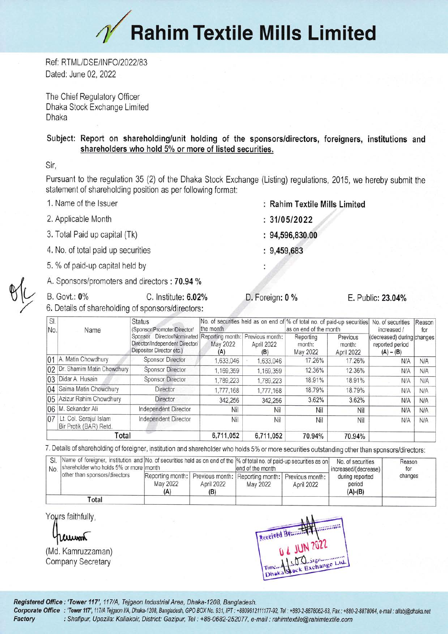## **Rahim Textile Mills Limited**

Ref: RTML/DSE/INFO/2022/83 Dated: June 02, 2022

The Chief Regulatory Officer Dhaka Stock Exchange Limited Dhaka

## Subject: Report on shareholding/unit holding of the sponsors/directors, foreigners, institutions and shareholders who hold 5% or more of listed securities.

Sir.

Pursuant to the regulation 35 (2) of the Dhaka Stock Exchange (Listing) regulations, 2015, we hereby submit the statement of shareholding position as per following format:

- 1. Name of the Issuer
- 2. Applicable Month
- 3. Total Paid up capital (Tk)
- 4. No. of total paid up securities
- 5. % of paid-up capital held by
- A. Sponsors/promoters and directors: 70.94 %

**B.** Govt.: 0% C. Institute: 6.02% 6. Details of shareholding of sponsors/directors:

 $: 94,596,830.00$ 

: Rahim Textile Mills Limited

 $: 9,459,683$ 

 $: 31/05/2022$ 

D. Foreign: 0 %

E. Public: 23.04%

| SI.<br>No. | Name                                             | <b>Status</b><br>(Sponsor/Promoter/Director/<br>Director/Nominated Reporting month: Previous month:<br>Sponsor<br>Director/Independent Director/<br>Depositor Director etc.) | No. of securities held as on end of % of total no. of paid-up securities<br>the month |                   | as on end of the month          |                                  | No. of securities<br>increased /                             | Reason<br>for |
|------------|--------------------------------------------------|------------------------------------------------------------------------------------------------------------------------------------------------------------------------------|---------------------------------------------------------------------------------------|-------------------|---------------------------------|----------------------------------|--------------------------------------------------------------|---------------|
|            |                                                  |                                                                                                                                                                              | May 2022<br>(A)                                                                       | April 2022<br>(B) | Reporting<br>month:<br>May 2022 | Previous<br>month:<br>April 2022 | (decreased) during changes<br>reported period<br>$(A) - (B)$ |               |
|            | 01 A. Matin Chowdhury                            | <b>Sponsor Director</b>                                                                                                                                                      | ,633,046                                                                              | 1,633,046         | 17.26%                          | 17.26%                           | N/A                                                          | N/A           |
|            | 02 Dr. Shamim Matin Chowdhury                    | <b>Sponsor Director</b>                                                                                                                                                      | 1,169,359                                                                             | 1,169,359         | 12.36%                          | 12.36%                           | N/A                                                          | N/A           |
|            | 03 Didar A. Husain                               | Sponsor Director                                                                                                                                                             | .789.223                                                                              | 1.789.223         | 18.91%                          | 18.91%                           | N/A                                                          | N/A           |
|            | 04 Saima Matin Chowdhury                         | <b>Director</b>                                                                                                                                                              | 1,777,168                                                                             | 1,777,168         | 18.79%                          | 18.79%                           | N/A                                                          | N/A           |
|            | 05 Azizur Rahim Chowdhury                        | Director                                                                                                                                                                     | 342,256                                                                               | 342,256           | 3.62%                           | 3.62%                            | <b>N/A</b>                                                   | N/A           |
|            | 06 M. Sekander Ali                               | Independent Director                                                                                                                                                         | Nil                                                                                   | Nil               | Nil                             | Nil                              | N/A                                                          | <b>N/A</b>    |
| 07         | Lt. Col. Serajul Islam<br>Bir Protik (BAR) Retd. | Independent Director                                                                                                                                                         | Nil                                                                                   | Nil               | Nil                             | Nil                              | N/A                                                          | N/A           |
|            | Total                                            |                                                                                                                                                                              | 6.711.052                                                                             | 6,711,052         | 70.94%                          | 70.94%                           |                                                              |               |

7. Details of shareholding of foreigner, institution and shareholder who holds 5% or more securities outstanding other than sponsors/directors:

| $'$ No. shareholder who holds 5% or more month |                                                                                                         |                   | SI. Name of foreigner, institution and No. of securities held as on end of the  % of total no. of paid-up securities as on<br>lend of the month |            | No. of securities<br>increased/(decrease) | Reason<br>for |  |
|------------------------------------------------|---------------------------------------------------------------------------------------------------------|-------------------|-------------------------------------------------------------------------------------------------------------------------------------------------|------------|-------------------------------------------|---------------|--|
| other than sponsors/directors                  | Reporting month:   Previous month:   Reporting month:   Previous month: <sup> </sup><br>May 2022<br>(A) | April 2022<br>(B) | May 2022                                                                                                                                        | April 2022 | during reported<br>period<br>(A)-(B)      | changes       |  |
| <b>Total</b>                                   |                                                                                                         |                   |                                                                                                                                                 |            |                                           |               |  |

Yours faithfully,

anun

(Md. Kamruzzaman) **Company Secretary** 

Received Brunning

Registered Office : 'Tower 117', 117/A, Tejgaon Industrial Area, Dhaka-1208, Bangladesh.

Corporate Office : 'Tower 117', 117/A Tejgaon I/A, Dhaka-1208, Bangladesh, GPO BOX No. 931, IPT: +8809612111177-92, Tel: +880-2-8878062-63, Fax: +880-2-8878064, e-mail : allabj@dhaka.net Factory : Shafipur, Upazila: Kaliakoir, District: Gazipur, Tel : +88-0682-252077, e-mail : rahimtextile@rahimtextile.com